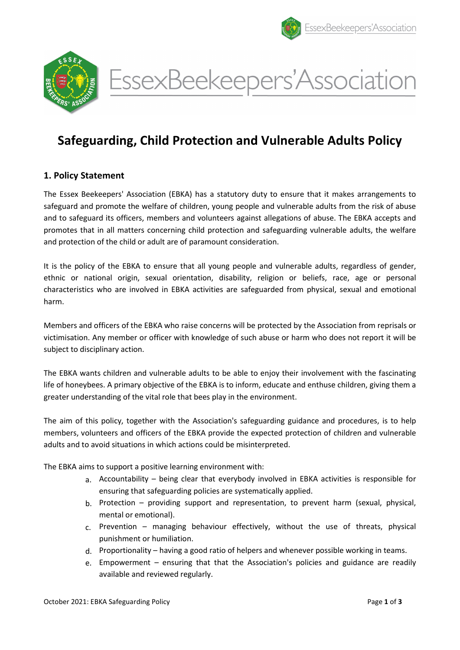



EssexBeekeepers'Association

# Safeguarding, Child Protection and Vulnerable Adults Policy

# 1. Policy Statement

The Essex Beekeepers' Association (EBKA) has a statutory duty to ensure that it makes arrangements to safeguard and promote the welfare of children, young people and vulnerable adults from the risk of abuse and to safeguard its officers, members and volunteers against allegations of abuse. The EBKA accepts and promotes that in all matters concerning child protection and safeguarding vulnerable adults, the welfare and protection of the child or adult are of paramount consideration.

It is the policy of the EBKA to ensure that all young people and vulnerable adults, regardless of gender, ethnic or national origin, sexual orientation, disability, religion or beliefs, race, age or personal characteristics who are involved in EBKA activities are safeguarded from physical, sexual and emotional harm.

Members and officers of the EBKA who raise concerns will be protected by the Association from reprisals or victimisation. Any member or officer with knowledge of such abuse or harm who does not report it will be subject to disciplinary action.

The EBKA wants children and vulnerable adults to be able to enjoy their involvement with the fascinating life of honeybees. A primary objective of the EBKA is to inform, educate and enthuse children, giving them a greater understanding of the vital role that bees play in the environment.

The aim of this policy, together with the Association's safeguarding guidance and procedures, is to help members, volunteers and officers of the EBKA provide the expected protection of children and vulnerable adults and to avoid situations in which actions could be misinterpreted.

The EBKA aims to support a positive learning environment with:

- a. Accountability being clear that everybody involved in EBKA activities is responsible for ensuring that safeguarding policies are systematically applied.
- b. Protection providing support and representation, to prevent harm (sexual, physical, mental or emotional).
- c. Prevention managing behaviour effectively, without the use of threats, physical punishment or humiliation.
- d. Proportionality having a good ratio of helpers and whenever possible working in teams.
- e. Empowerment ensuring that that the Association's policies and guidance are readily available and reviewed regularly.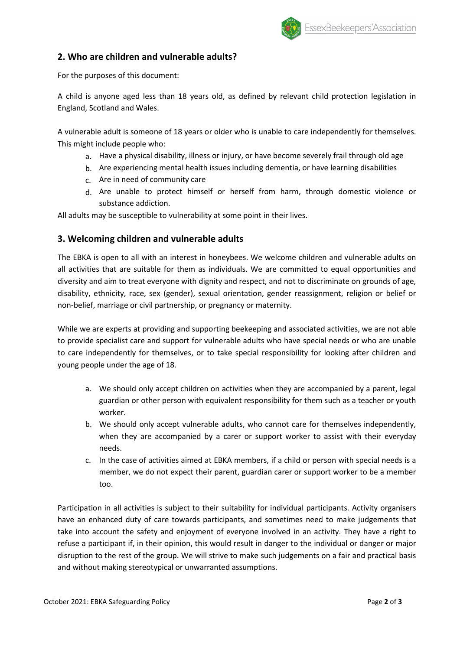

## 2. Who are children and vulnerable adults?

For the purposes of this document:

A child is anyone aged less than 18 years old, as defined by relevant child protection legislation in England, Scotland and Wales.

A vulnerable adult is someone of 18 years or older who is unable to care independently for themselves. This might include people who:

- a. Have a physical disability, illness or injury, or have become severely frail through old age
- b. Are experiencing mental health issues including dementia, or have learning disabilities
- c. Are in need of community care
- d. Are unable to protect himself or herself from harm, through domestic violence or substance addiction.

All adults may be susceptible to vulnerability at some point in their lives.

## 3. Welcoming children and vulnerable adults

The EBKA is open to all with an interest in honeybees. We welcome children and vulnerable adults on all activities that are suitable for them as individuals. We are committed to equal opportunities and diversity and aim to treat everyone with dignity and respect, and not to discriminate on grounds of age, disability, ethnicity, race, sex (gender), sexual orientation, gender reassignment, religion or belief or non-belief, marriage or civil partnership, or pregnancy or maternity.

While we are experts at providing and supporting beekeeping and associated activities, we are not able to provide specialist care and support for vulnerable adults who have special needs or who are unable to care independently for themselves, or to take special responsibility for looking after children and young people under the age of 18.

- a. We should only accept children on activities when they are accompanied by a parent, legal guardian or other person with equivalent responsibility for them such as a teacher or youth worker.
- b. We should only accept vulnerable adults, who cannot care for themselves independently, when they are accompanied by a carer or support worker to assist with their everyday needs.
- c. In the case of activities aimed at EBKA members, if a child or person with special needs is a member, we do not expect their parent, guardian carer or support worker to be a member too.

Participation in all activities is subject to their suitability for individual participants. Activity organisers have an enhanced duty of care towards participants, and sometimes need to make judgements that take into account the safety and enjoyment of everyone involved in an activity. They have a right to refuse a participant if, in their opinion, this would result in danger to the individual or danger or major disruption to the rest of the group. We will strive to make such judgements on a fair and practical basis and without making stereotypical or unwarranted assumptions.